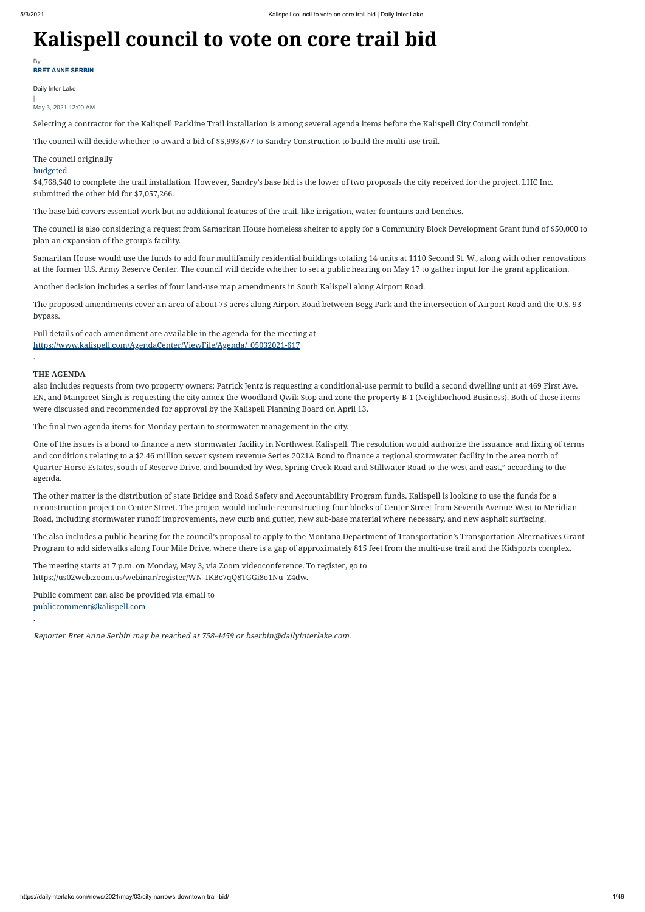# **Kalispell council to vote on core trail bid**

Daily Inter Lake

|

May 3, 2021 12:00 AM

Selecting a contractor for the Kalispell Parkline Trail installation is among several agenda items before the Kalispell City Council tonight.

The council will decide whether to award a bid of \$5,993,677 to Sandry Construction to build the multi-use trail.

# The council originally

## [budgeted](https://dailyinterlake.com/news/2021/apr/28/parkline-trail-hits-budgeting-snag/)

\$4,768,540 to complete the trail installation. However, Sandry's base bid is the lower of two proposals the city received for the project. LHC Inc. submitted the other bid for \$7,057,266.

The base bid covers essential work but no additional features of the trail, like irrigation, water fountains and benches.

The council is also considering a request from Samaritan House homeless shelter to apply for a Community Block Development Grant fund of \$50,000 to plan an expansion of the group's facility.

Samaritan House would use the funds to add four multifamily residential buildings totaling 14 units at 1110 Second St. W., along with other renovations at the former U.S. Army Reserve Center. The council will decide whether to set a public hearing on May 17 to gather input for the grant application.

Another decision includes a series of four land-use map amendments in South Kalispell along Airport Road.

The proposed amendments cover an area of about 75 acres along Airport Road between Begg Park and the intersection of Airport Road and the U.S. 93 bypass.

Full details of each amendment are available in the agenda for the meeting at [https://www.kalispell.com/AgendaCenter/ViewFile/Agenda/\\_05032021-617](https://www.kalispell.com/AgendaCenter/ViewFile/Agenda/_05032021-617)

.

## **THE AGENDA**

also includes requests from two property owners: Patrick Jentz is requesting a conditional-use permit to build a second dwelling unit at 469 First Ave. EN, and Manpreet Singh is requesting the city annex the Woodland Qwik Stop and zone the property B-1 (Neighborhood Business). Both of these items were discussed and recommended for approval by the Kalispell Planning Board on April 13.

**BRET ANNE SERBIN** By

The final two agenda items for Monday pertain to stormwater management in the city.

One of the issues is a bond to finance a new stormwater facility in Northwest Kalispell. The resolution would authorize the issuance and fixing of terms and conditions relating to a \$2.46 million sewer system revenue Series 2021A Bond to finance a regional stormwater facility in the area north of Quarter Horse Estates, south of Reserve Drive, and bounded by West Spring Creek Road and Stillwater Road to the west and east," according to the agenda.

The other matter is the distribution of state Bridge and Road Safety and Accountability Program funds. Kalispell is looking to use the funds for a reconstruction project on Center Street. The project would include reconstructing four blocks of Center Street from Seventh Avenue West to Meridian Road, including stormwater runoff improvements, new curb and gutter, new sub-base material where necessary, and new asphalt surfacing.

The also includes a public hearing for the council's proposal to apply to the Montana Department of Transportation's Transportation Alternatives Grant Program to add sidewalks along Four Mile Drive, where there is a gap of approximately 815 feet from the multi-use trail and the Kidsports complex.

The meeting starts at 7 p.m. on Monday, May 3, via Zoom videoconference. To register, go to https://us02web.zoom.us/webinar/register/WN\_IKBc7qQ8TGGi8o1Nu\_Z4dw.

Public comment can also be provided via email to [publiccomment@kalispell.com](http://mailto:publiccomment@kalispell.com/)

.

Reporter Bret Anne Serbin may be reached at 758-4459 or bserbin@dailyinterlake.com.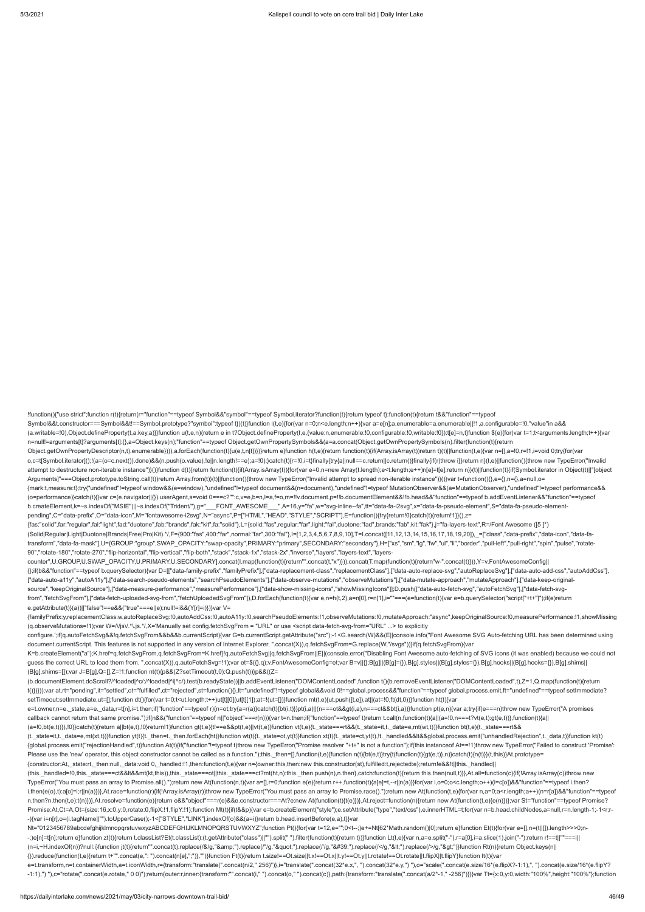n=null!=arguments[t]?arguments[t]:{},a=Object.keys(n);"function"==typeof Object.getOwnPropertySymbols&&(a=a.concat(Object.getOwnPropertySymbols(n).filter(function(t){return Object.getOwnPropertyDescriptor(n,t).enumerable}))),a.forEach(function(t){u(e,t,n[t])})}return e}function h(t,e){return function(t){if(Array.isArray(t))return t}(t)||function(t,e){var n=[],a=!0,r=!1,i=void 0;try{for(var o,c=t[Symbol.iterator]();!(a=(o=c.next()).done)&&(n.push(o.value),!e||n.length!==e);a=!0);}catch(t){r=!0,i=t}finally{try{a||null==c.return||c.return()}finally{if(r)throw i}}return n}(t,e)||function(){throw new TypeError("I attempt to destructure non-iterable instance")}()}function d(t){return function(t){if(Array.isArray(t)}{for(var e=0,n=new Array(t.length);e<t.length;e++)n[e]=t[e];return n}}(t)|[function(t){if(Symbol.iterator in Object(t)|

!function(){"use strict";function r(t){return(r="function"==typeof Symbol&&"symbol"==typeof Symbol.iterator?function(t){return typeof t}:function(t){return t&&"function"==typeof Symbol&&t.constructor===Symbol&&t!==Symbol.prototype?"symbol":typeof t})(t)}function i(t,e){for(var n=0;n<e.length;n++){var a=e[n];a.enumerable=a.enumerable||!1,a.configurable=!0,"value"in a&& (a.writable=!0),Object.defineProperty(t,a.key,a)}}function u(t,e,n){return e in t?Object.defineProperty(t,e,{value:n,enumerable:!0,configurable:!0,writable:!0}):t[e]=n,t}function \$(e){for(var t=1;t<arguments.length;t++){var

pending",C="data-prefix",O="data-icon",M="fontawesome-i2svg",N="async",P=["HTML","HEAD","STYLE","SCRIPT"],E=function(){try{return!0}catch(t){return!1}}(),z= {fas:"solid",far:"regular",fal:"light",fad:"duotone",fab:"brands",fak:"kit",fa:"solid"},L={solid:"fas",regular:"far",light:"fal",duotone:"fad",brands:"fab",kit:"fak"},j="fa-layers-text",R=/Font Awesome ([5 ]\*) (Solid|Regular|Light|Duotone|Brands|Free|Pro|Kit).\*/,F={900:"fas",400:"far",normal:"far",300:"fal"},I=[1,2,3,4,5,6,7,8,9,10],T=I.concat([11,12,13,14,15,16,17,18,19,20]),\_=["class","data-prefix","data-icon","data-fatransform","data-fa-mask"],U={GROUP:"group",SWAP\_OPACITY:"swap-opacity",PRIMARY:"primary",SECONDARY:"secondary"},H=["xs","sm","lg","fw","ul","li","border","pull-left","pull-right","spin","pulse","rotate-

Arguments]"===Object.prototype.toString.call(t))return Array.from(t)}(t)||function(){throw new TypeError("Invalid attempt to spread non-iterable instance")}()}var t=function(){},e={},n={},a=null,o= {mark:t,measure:t};try{"undefined"!=typeof window&&(e=window),"undefined"!=typeof document&&(n=document),"undefined"!=typeof MutationObserver&&(a=MutationObserver),"undefined"!=typeof performance&& (o=performance)}catch(t){}var c=(e.navigator||{}).userAgent,s=void 0===c?"":c,v=e,b=n,l=a,f=o,m=!!v.document,p=!!b.documentElement&&!!b.head&&"function"==typeof b.addEventListener&&"function"==typeof b.createElement,k=~s.indexOf("MSIE")||~s.indexOf("Trident/"),g="\_\_\_FONT\_AWESOME\_\_\_",A=16,y="fa",w="svg-inline--fa",tt="data-fa-i2svg",x="data-fa-pseudo-element",S="data-fa-pseudo-element-

document.currentScript. This features is not supported in any version of Internet Explorer. ".concat(X)),q.fetchSvgFrom=G.replace(W,"/svgs"))}if(q.fetchSvgFrom){var K=b.createElement("a");K.href=q.fetchSvgFrom,q.fetchSvgFrom=K.href}!q.autoFetchSvg||q.fetchSvgFrom||E||(console.error("Disabling Font Awesome auto-fetching of SVG icons (it was enabled) because we could not guess the correct URL to load them from. ".concat(X)),q.autoFetchSvg=!1);var et=\$({},q);v.FontAwesomeConfig=et;var B=v||{};B[g]||(B[g]={}),B[g].styles||(B[g].styles={}),B[g].hooks||(B[g].hooks={}),B[g].shims|| (B[g].shims=[]);var J=B[g],Q=[],Z=!1;function nt(t){p&&(Z?setTimeout(t,0):Q.push(t))}p&&((Z= (b.documentElement.doScroll?/^loaded|^c/:/^loaded|^i|^c/).test(b.readyState))||b.addEventListener("DOMContentLoaded",function t(){b.removeEventListener("DOMContentLoaded",t),Z=1,Q.map(function(t){return t()})}));var at,rt="pending",it="settled",ot="fulfilled",ct="rejected",st=function(){},lt="undefined"!=typeof global&&void 0!==global.process&&"function"==typeof global.process.emit,ft="undefined"==typeof setImmediate? setTimeout:setImmediate,ut=[];function dt(){for(var t=0;t<ut.length;t++)ut[t][0](ut[t][1]);at=!(ut=[])}function mt(t,e){ut.push([t,e]),at||(at=!0,ft(dt,0))}function ht(t){var e=t.owner,n=e.\_state,a=e.\_data,r=t[n],i=t.then;if("function"==typeof r){n=ot;try{a=r(a)}catch(t){bt(i,t)}}pt(i,a)||(n===ot&&gt(i,a),n===ct&&bt(i,a))}function pt(e,n){var a;try{if(e===n)throw new TypeError("A promises callback cannot return that same promise.");if(n&&("function"==typeof n||"object"===r(n))){var t=n.then;if("function"==typeof t)return t.call(n,function(t){a||(a=!0,n===t?vt(e,t));function(t){a||(a=|t)},function(t){a|| (a=!0,bt(e,t))}),!0}}catch(t){return a||bt(e,t),!0}return!1}function gt(t,e){t!==e&&pt(t,e)||vt(t,e)}function vt(t,e){t.\_state===rt&&(t.\_state=it,t.\_data=e,mt(wt,t))}function bt(t,e){t.\_state===rt&& (t.\_state=it,t.\_data=e,mt(xt,t))}function yt(t){t.\_then=t.\_then.forEach(ht)}function wt(t){t.\_state=ot,yt(t)}function xt(t){t.\_state=ct,yt(t)}function xt(t){t.\_state=ct,yt(t)}function xt(t){t.\_state=ct,yt(t)}function xt(t) {global.process.emit("rejectionHandled",t)}function At(t){if("function"!=typeof t)throw new TypeError("Promise resolver "+t+" is not a function");if(this instanceof At==!1)throw new TypeError("Failed to construct 'Promise': Please use the 'new' operator, this object constructor cannot be called as a function.");this.\_then=[],function(t,e){function n(t){bt(e,t)}try{t(function(t){gt(e,t)},n)}catch(t){n(t)}}(t,this)}At.prototype= {constructor:At,\_state:rt,\_then:null,\_data:void 0,\_handled:!1,then:function(t,e){var n={owner:this,then:new this.constructor(st),fulfilled:t,rejected:e};return!e&&!t||this.\_handled|| (this.\_handled=!0,this.\_state===ct&&lt&&mt(kt,this)),this.\_state===ot||this.\_state===ct?mt(ht,n):this.\_then.push(n),n.then},catch:function(t){return this.then(null,t)}},At.all=function(c){if(!Array.isArray(c))throw new TypeError("You must pass an array to Promise.all().");return new At(function(n,t){var a=[],r=0;function e(e){return r++,function(t){a[e]=t,--r||n(a)}}for(var i,o=0;o<c.length;o++)(i=c[o])&&"function"==typeof i.then? i.then(e(o),t):a[o]=i;r||n(a)})},At.race=function(r){if(!Array.isArray(r))throw new TypeError("You must pass an array to Promise.race().");return new At(function(t,e){for(var n,a=0;a<r.length;a++)(n=r[a])&&"function"==typeof n.then?n.then(t,e):t(n)})},At.resolve=function(e){return e&&"object"===r(e)&&e.constructor===At?e:new At(function(t){t(e)})},At.reject=function(n){return new At(function(t,e){e(n)})};var St="function"==typeof Promise? Promise:At,Ct=A,Ot={size:16,x:0,y:0,rotate:0,flipX:!1,flipY:!1};function Mt(t){if(t&&p){var e=b.createElement("style");e.setAttribute("type","text/css"),e.innerHTML=t;for(var n=b.head.childNodes,a=null,r=n.length-1;-1<r;r- -){var i=n[r],o=(i.tagName||"").toUpperCase();-1<["STYLE","LINK"].indexOf(o)&&(a=i)}return b.head.insertBefore(e,a),t}}var Nt="0123456789abcdefghijklmnopqrstuvwxyzABCDEFGHIJKLMNOPQRSTUVWXYZ";function Pt(){for(var t=12,e="";0<t--;)e+=Nt[62\*Math.random()|0];return e}function Et(t){for(var e=[],n=(t||[]).length>>>0;n- -;)e[n]=t[n];return e}function zt(t){return t.classList?Et(t.classList):(t.getAttribute("class")||"").split(" ").filter(function(t){return t})}function Lt(t,e){var n,a=e.split("-"),r=a[0],i=a.slice(1).join("-");return r!== (n=i,~H.indexOf(n))?null:i}function jt(t){return"".concat(t).replace(/&/g,"&").replace(/"/g,""").replace(//g,"'").replace(/</g,"&lt;").replace(/>/g,"&dt;"}}function Rt(n){return Object.keys(n|| {}).reduce(function(t,e){return t+"".concat(e,": ").concat(n[e],";")},"")}function Ft(t){return t.size!==Ot.size||t.x!==Ot.x||t.y!==Ot.y||t.rotate!==Ot.rotate||t.flipX||t.flipY}function It(t){var e=t.transform,n=t.containerWidth,a=t.iconWidth,r={transform:"translate(".concat(n/2," 256)")},i="translate(".concat(32\*e.x,", ").concat(32\*e.y,") "),o="scale(".concat(e.size/16\*(e.flipX?-1:1),", ").concat(e.size/16\*(e.flipY? -1:1),") "),c="rotate(".concat(e.rotate," 0 0)");return{outer:r,inner:{transform:"".concat(i," ").concat(o," ").concat(c)},path:{transform:"translate(".concat(a/2\*-1,"-256)"}}}var Tt={x:0,y:0,width:"100%",height:"100%"};fu

90","rotate-180","rotate-270","flip-horizontal","flip-vertical","flip-both","stack","stack-1x","stack-2x","inverse","layers","layers-text","layerscounter",U.GROUP,U.SWAP\_OPACITY,U.PRIMARY,U.SECONDARY].concat(I.map(function(t){return"".concat(t,"x")})).concat(T.map(function(t){return"w-".concat(t)})),Y=v.FontAwesomeConfig|| {};if(b&&"function"==typeof b.querySelector){var D=[["data-family-prefix","familyPrefix"],["data-replacement-class","replacementClass"],["data-auto-replace-svg","autoReplaceSvg"],["data-auto-add-css","autoAddCss"], ["data-auto-a11y","autoA11y"],["data-search-pseudo-elements","searchPseudoElements"],["data-observe-mutations","observeMutations"],["data-mutate-approach","mutateApproach"],["data-keep-originalsource","keepOriginalSource"],["data-measure-performance","measurePerformance"],["data-show-missing-icons","showMissingIcons"]];D.push(["data-auto-fetch-svg","autoFetchSvg"],["data-fetch-svgfrom","fetchSvgFrom"],["data-fetch-uploaded-svg-from","fetchUploadedSvgFrom"]),D.forEach(function(t){var e,n=h(t,2),a=n[0],r=n[1],i=""===(e=function(t){var e=b.querySelector("script["+t+"]");if(e)return e.getAttribute(t)}(a))||"false"!==e&&("true"===e||e);null!=i&&(Y[r]=i)})}var V=

{familyPrefix:y,replacementClass:w,autoReplaceSvg:!0,autoAddCss:!0,autoA11y:!0,searchPseudoElements:!1,observeMutations:!0,mutateApproach:"async",keepOriginalSource:!0,measurePerformance:!1,showMissing

(q.observeMutations=!1);var W=/\/js\/.\*\.js.\*/,X='Manually set config.fetchSvgFrom = "URL" or use <script data-fetch-svg-from="URL" ...> to explicitly

configure.';if(q.autoFetchSvg&&!q.fetchSvgFrom&&b&&b.currentScript){var G=b.currentScript.getAttribute("src");-1<G.search(W)&&(E||console.info("Font Awesome SVG Auto-fetching URL has been determined using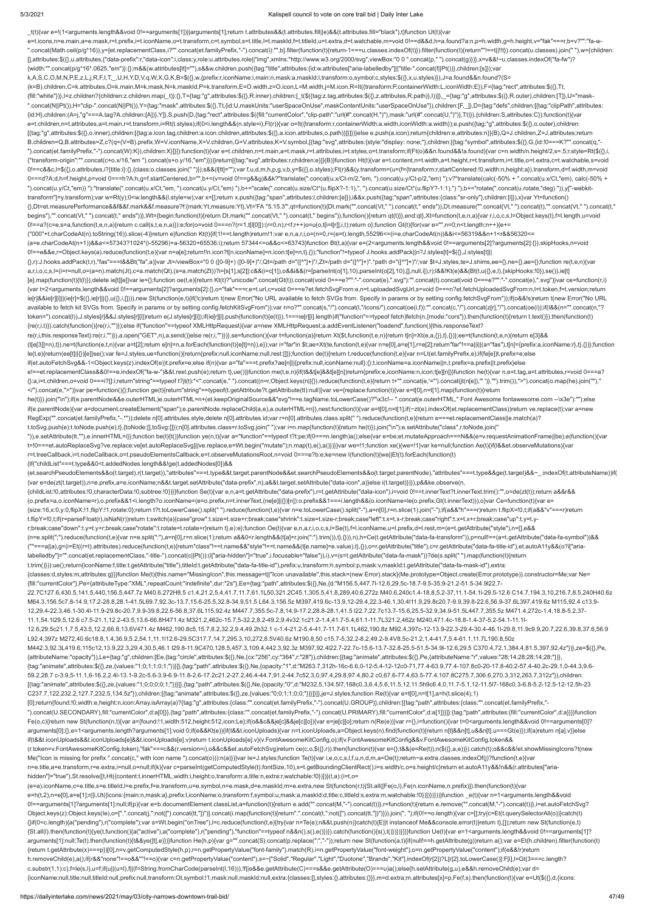#### 5/3/2021 Kalispell council to vote on core trail bid | Daily Inter Lake

\_t(t){var e=!(1<arguments.length&&void 0!==arguments[1])||arguments[1];return t.attributes&&(t.attributes.fill||e)&&(t.attributes.fill="black"),t}function Ut(t){var e=t.icons,n=e.main,a=e.mask,r=t.prefix,i=t.iconName,o=t.transform,c=t.symbol,s=t.title,l=t.maskId,f=t.titleId,u=t.extra,d=t.watchable,m=void 0!==d&&d,h=a.found?a:n,p=h.width,g=h.height,v="fak"===r,b=v?"":"fa-w- ".concat(Math.ceil(p/g\*16)),y=[et.replacementClass,i?"".concat(et.familyPrefix,"-").concat(i):"",b].filter(function(t){return-1===u.classes.indexOf(t)}).filter(function(t){return"!==t|!!!!}).concat(u.classes).join(""),w={c [],attributes:\$({},u.attributes,{"data-prefix":r,"data-icon":i,class:y,role:u.attributes.role||"img",xmlns:"http://www.w3.org/2000/svg",viewBox:"0 0 ".concat(p," ").concat(g)})},x=v&&!~u.classes.indexOf("fa-fw")? {width:"".concat(p/g\*16\*.0625,"em")}:{};m&&(w.attributes[tt]=""),s&&w.children.push({tag:"title",attributes:{id:w.attributes["aria-labelledby"]||"title-".concat(f||Pt())},children:[s]});var k,A,S,C,O,M,N,P,E,z,L,j,R,F,I,T,\_,U,H,Y,D,V,q,W,X,G,K,B=\$({},w,{prefix:r,iconName:i,main:n,mask:a,maskId:l,transform:o,symbol:c,styles:\$({},x,u.styles)}),J=a.found&&n.found?(S= (k=B).children,C=k.attributes,O=k.main,M=k.mask,N=k.maskId,P=k.transform,E=O.width,z=O.icon,L=M.width,j=M.icon,R=It({transform:P,containerWidth:L,iconWidth:E}),F={tag:"rect",attributes:\$({},Tt, {fill:"white"})},l=z.children?{children:z.children.map(\_t)}:{},T={tag:"g",attributes:\$({},R.inner),children:[\_t(\$({tag:z.tag,attributes:\$({},2.attributes,R.path)},l))]},\_={tag:"g",attributes:\$({},R.outer),children:[T]},U=" ".concat(N||Pt()),H="clip-".concat(N||Pt()),Y={tag:"mask",attributes:\$({},Tt,{id:U,maskUnits:"userSpaceOnUse",maskContentUnits:"userSpaceOnUse"}),children:[F,\_]},D={tag:"defs",children:[{tag:"clipPath",attributes: {id:H},children:(A=j,"g"===A.tag?A.children:[A])},Y]},S.push(D,{tag:"rect",attributes:\$({fill:"currentColor","clip-path":"url(#".concat(H,")"),mask:"url(#".concat(U,")")},Tt)}),{children:S,attributes:C}):function(t){var e=t.children,n=t.attributes,a=t.main,r=t.transform,i=Rt(t.styles);if(0<i.length&&(n.style=i),Ft(r)){var o=It({transform:r,containerWidth:a.width,iconWidth:a.width});e.push({tag:"g",attributes:\$({},o.outer),children: [{tag:"g",attributes:\$({},o.inner),children:[{tag:a.icon.tag,children:a.icon.children,attributes:\$({},a.icon.attributes,o.path)}]}]})}else e.push(a.icon);return{children:e,attributes:n}}(B),Q=J.children,Z=J.attributes;return B.children=Q,B.attributes=Z,c?(q=(V=B).prefix,W=V.iconName,X=V.children,G=V.attributes,K=V.symbol,[{tag:"svg",attributes:{style:"display: none;"},children:[{tag:"symbol",attributes:\$({},G,{id:!0===K?"".concat(q,"- ").concat(et.familyPrefix,"-").concat(W):K}),children:X}]}]):function(t){var e=t.children,n=t.main,a=t.mask,r=t.attributes,i=t.styles,o=t.transform;if(Ft(o)&&n.found&&!a.found){var c=n.width/n.height/2,s=.5;r.style=Rt(\${{} {"transform-origin":"".concat(c+o.x/16,"em ").concat(s+o.y/16,"em")}))}return[{tag:"svg",attributes:r,children:e}]}(B)}function Ht(t){var e=t.content,n=t.width,a=t.height,r=t.transform,i=t.title,o=t.extra,c=t.watchable,s=v 0!==c&&c,l=\$({},o.attributes,i?{title:i}:{},{class:o.classes.join(" ")});s&&(l[tt]="");var f,u,d,m,h,p,g,v,b,y=\$({},o.styles);Ft(r)&&(y.transform=(u=(f={transform:r,startCentered:!0,width:n,height:a}).transform,d=f.width,m 0===d?A:d,h=f.height,p=void 0===h?A:h,g=f.startCentered,b="",b+=(v=void 0!==g&&g)&&k?"translate(".concat(u.x/Ct-m/2,"em, ").concat(u.y/Ct-p/2,"em) "):v?"translate(calc(-50% + ".concat(u.x/Ct,"em), calc(-50% + ").concat(u.y/Ct,"em)) "):"translate(".concat(u.x/Ct,"em, ").concat(u.y/Ct,"em) "),b+="scale(".concat(u.size/Ct\*(u.flipX?-1:1),", ").concat(u.size/Ct\*(u.flipY?-1:1),") "),b+="rotate(".concat(u.rotate,"deg) ")),y["-webkittransform"]=y.transform);var w=Rt(y);0<w.length&&(l.style=w);var x=[];return x.push({tag:"span",attributes:l,children:[e]}),i&&x.push({tag:"span",attributes:{class:"sr-only"},children:[i]}),x}var Yt=function() {},Dt=et.measurePerformance&&f&&f.mark&&f.measure?f:{mark:Yt,measure:Yt},Vt='FA "5.15.3"',qt=function(t){Dt.mark("".concat(Vt," ").concat(t," ends")),Dt.measure("".concat(Vt," ").concat(t),"".concat(Vt," ").concat(t," begins"),"".concat(Vt," ").concat(t," ends"))},Wt={begin:function(t){return Dt.mark("".concat(Vt," ").concat(t," begins")),function(){return qt(t)}},end:qt},Xt=function(t,e,n,a){var r,i,o,c,s,l=Object.keys(t),f=l.length,u= 0!==a?(c=e,s=a,function(t,e,n,a){return c.call(s,t,e,n,a)}):e;for(o=void 0===n?(r=1,t[l[0]]):(r=0,n);r<f;r++)o=u(o,t[i=l[r]],i,t);return o};function Gt(t){for(var e="",n=0;n<t.length;n++){e+= ("000"+t.charCodeAt(n).toString(16)).slice(-4)}return e}function Kt(t){if(1!==t.length)return!1;var e,n,a,r,i,o=(n=0,r=(e=t).length,55296<=(i=e.charCodeAt(n))&&i<=56319&&n+1<r&&56320<= (a=e.charCodeAt(n+1))&&a<=57343?1024\*(i-55296)+a-56320+65536:i);return 57344<=o&&o<=63743}function Bt(t,a){var e=(2<arguments.length&&void 0!==arguments[2]?arguments[2]:{}).skipHooks,n=void 0!==e&&e,r=Object.keys(a).reduce(function(t,e){var n=a[e];return!!n.icon?t[n.iconName]=n.icon:t[e]=n,t},{});"function"!=typeof J.hooks.addPack||n?J.styles[t]=\$({},J.styles[t]|| {},r):J.hooks.addPack(t,r),"fas"===t&&Bt("fa",a)}var Jt=/viewBox="0 0 ([0-9]+) ([0-9]+)"/,Qt=/path d="([^"]+)"/,Zt=/path d="([^"]+)".\*path d="([^"]+)"/;var \$t=J.styles,te=J.shims,ee={},ne={},ae={};function re(t,e,n){var a,r,i,o,c,s,l=(i=r=null,o=(a=n).match(Jt),c=a.match(Qt),(s=a.match(Zt))?i=[s[1],s[2]]:c&&(i=c[1]),o&&i&&(r=[parseInt(o[1],10),parseInt(o[2],10),[],null,i]),r);l&&!Kt(e)&&(Bt(t,u({},e,l),{skipHooks:!0}),se()),ie[t] [e].map(function(t){t(l)}),delete ie[t][e]}var ie={};function oe(t,e){return Kt(t)?"unicode/".concat(Gt(t)).concat(void 0===e?"":"-".concat(e),".svg"):"".concat(t).concat(toid 0===e?"":"-".concat(oid 0===e?"":"-".concat(e) {var t=2<arguments.length&&void 0!==arguments[2]?arguments[2]:{},o="fak"===r,e=t.url,c=void 0===e?et.fetchSvgFrom:e,n=t.uploadedSvgUrl,s=void 0===n?et.fetchUploadedSvgFrom:n,l=t.token,f=t.version;return ie[r]&&ie[r][i]]|(ie[r]=\$({},ie[r]||{},u({},i,[]))),new St(function(e,t){if(!c)return t(new Error("No URL available to fetch SVGs from. Specify in params or by setting config.fetchSvgFrom"));if(o&&!s)return t(new Error("No available to fetch kit SVGs from. Specify in params or by setting config.fetchKitSvgFrom"));var n=o?"".concat(s,"/").concat(l,"/icons/").concat(oe(i,f)):"".concat(oe(i,f):"".concat(z[r],"/").concat(oe(i));if(l&&(n="".conca token=").concat(l)),J.styles[r]&&J.styles[r][i])return e(J.styles[r][i]);if(ie[r][i].push(function(t){e(t)}),1===ie[r][i].length)if("function"==typeof fetch)fetch(n,{mode:"cors"}).then(function(t){return t.text()}).then(fu {re(r,i,t)}).catch(function(){re(r,i,"")});else if("function"==typeof XMLHttpRequest){var a=new XMLHttpRequest;a.addEventListener("loadend",function(){this.responseText? re(r,i,this.responseText):re(r,i,"")}),a.open("GET",n),a.send()}else re(r,i,"")})},se=function(){var t=function(a){return Xt(\$t,function(t,e,n){return t[n]=Xt(e,a,{}),t},{})};ee=t(function(t,e,n){return e[3]&& (t[e[3]]=n),t}),ne=t(function(e,t,n){var a=t[2];return e[n]=n,a.forEach(function(t){e[t]=n}),e});var i="far"in \$t;ae=Xt(te,function(t,e){var n=e[0],a=e[1],r=e[2];return"far"!==a||i||(a="fas"),t[n]={prefix:a,iconName:r},t}, le(t,e){return(ee[t]||{})[e]}se();var fe=J.styles,ue=function(){return{prefix:null,iconName:null,rest:[]}};function de(t){return t.reduce(function(t,e){var n=Lt(et.familyPrefix,e);if(fe[e])t.prefix=e;else if(et.autoFetchSvg&&-1<Object.keys(z).indexOf(e))t.prefix=e;else if(n){var a="fa"===t.prefix?ae[n]||{prefix:null,iconName:null}:{};t.iconName=a.iconName||n,t.prefix=a.prefix||t.prefix}else e!==et.replacementClass&&0!==e.indexOf("fa-w-")&&t.rest.push(e);return t},ue())}function me(t,e,n){if(t&&t[e]&&t[e][n])return{prefix:e,iconName:n,icon:t[e][n]}}function he(t){var n,e=t.tag,a=t.attributes,r=void 0===a? {}:a,i=t.children,o=void 0===i?[]:i;return"string"==typeof t?jt(t):"<".concat(e," ").concat((n=r,Object.keys(n||{}).reduce(function(t,e){return t+"".concat(e,'=").concat(jt(n[e]),"")},"").trim()),">").concat(o.map(he).join </").concat(e,">")}var pe=function(){};function ge(t){return"string"==typeof(t.getAttribute?t.getAttribute(tt):null)}var ve={replace:function(t){var e=t[0],n=t[1].map(function(t){return he(t)}).join("\n");if(e.parentNode&&e.outerHTML)e.outerHTML=n+(et.keepOriginalSource&&"svg"!==e.tagName.toLowerCase()?"\x3c!-- ".concat(e.outerHTML," Font Awesome fontawesome.com --\x3e"):"");else if(e.parentNode){var a=document.createElement("span");e.parentNode.replaceChild(a,e),a.outerHTML=n}},nest:function(t){var e=t[0],n=t[1];if(~zt(e).indexOf(et.replacementClass))return ve.replace(t);var a=new RegExp("".concat(et.familyPrefix,"-.\*"));delete n[0].attributes.style,delete n[0].attributes.id;var r=n[0].attributes.class.split(" ").reduce(function(t,e){return e===et.replacementClass||e.match(a)? t.toSvg.push(e):t.toNode.push(e),t},{toNode:[],toSvg:[]});n[0].attributes.class=r.toSvg.join(" ");var i=n.map(function(t){return he(t)}).join("\n");e.setAttribute("class",r.toNode.join(" ")),e.setAttribute(tt,""),e.innerHTML=i}};function be(t){t()}function ye(n,t){var a="function"==typeof t?t:pe;if(0===n.length)a();else{var e=be;et.mutateApproach===N&&(e=v.requestAnimationFrame||be),e(function(){var t=!0===et.autoReplaceSvg?ve.replace:ve[et.autoReplaceSvg]||ve.replace,e=Wt.begin("mutate");n.map(t),e(),a()})}}var we=!1;function xe(){we=!1}var ke=null;function Ae(t){if(l&&et.observeMutations){var r=t.treeCallback,i=t.nodeCallback,o=t.pseudoElementsCallback,e=t.observeMutationsRoot,n=void 0===e?b:e;ke=new l(function(t){we||Et(t).forEach(function(t) {if("childList"===t.type&&0<t.addedNodes.length&&!ge(t.addedNodes[0])&& (et.searchPseudoElements&&o(t.target),r(t.target)),"attributes"===t.type&&t.target.parentNode&&et.searchPseudoElements&&o(t.target.parentNode),"attributes"===t.type&&ge(t.target)&&~\_.indexOf(t.attributeName))if( {var e=de(zt(t.target)),n=e.prefix,a=e.iconName;n&&t.target.setAttribute("data-prefix",n),a&&t.target.setAttribute("data-icon",a)}else i(t.target)})}),p&&ke.observe(n, {childList:!0,attributes:!0,characterData:!0,subtree:!0})}}function Se(t){var e,n,a=t.getAttribute("data-prefix"),r=t.getAttribute("data-icon"),i=void 0!==t.innerText?t.innerText.trim():"",o=de(zt(t));return a&&r&& (o.prefix=a,o.iconName=r),o.prefix&&1<i.length?o.iconName=(e=o.prefix,n=t.innerText,(ne[e]||{})[n]):o.prefix&&1===i.length&&(o.iconName=le(o.prefix,Gt(t.innerText))),o}var Ce=function(t){var e= {size:16,x:0,y:0,flipX:!1,flipY:!1,rotate:0};return t?t.toLowerCase().split(" ").reduce(function(t,e){var n=e.toLowerCase().split("-"),a=n[0],r=n.slice(1).join("-");if(a&&"h"===r)return t.flipX=!0,t;if(a&&"v"===r)return t.flipY=!0,t;if(r=parseFloat(r),isNaN(r))return t;switch(a){case"grow":t.size=t.size+r;break;case"shrink":t.size=t.size-r;break;case"left":t.x=t.x-r;break;case"right":t.x=t.x+r;break;case"up":t.y=t.yr;break;case"down":t.y=t.y+r;break;case"rotate":t.rotate=t.rotate+r}return t},e):e};function Oe(t){var e,n,a,r,i,o,c,s,l=Se(t),f=l.iconName,u=l.prefix,d=l.rest,m=(e=t.getAttribute("style"),n=[],e&& (n=e.split(";").reduce(function(t,e){var n=e.split(":"),a=n[0],r=n.slice(1);return a&&0<r.length&&(t[a]=r.join(":").trim()),t},{})),n),h=Ce(t.getAttribute("data-fa-transform")),p=null!==(a=t.getAttribute("data-fa-symbol"))&& (""===a||a),g=(i=Et((r=t).attributes).reduce(function(t,e){return"class"!==t.name&&"style"!==t.name&&(t[e.name]=e.value),t},{}),o=r.getAttribute("title"),c=r.getAttribute("data-fa-title-id"),et.autoA11y&&(o?i["arialabelledby"]="".concat(et.replacementClass,"-title-").concat(c||Pt()):(i["aria-hidden"]="true",i.focusable="false")),i),v=(s=t.getAttribute("data-fa-mask"))?de(s.split(" ").map(function(t){return t.trim()})):ue();return{iconName:f,title:t.getAttribute("title"),titleId:t.getAttribute("data-fa-title-id"),prefix:u,transform:h,symbol:p,mask:v,maskId:t.getAttribute("data-fa-mask-id"),extra: {classes:d,styles:m,attributes:g}}}function Me(t){this.name="MissingIcon",this.message=t||"Icon unavailable",this.stack=(new Error).stack}(Me.prototype=Object.create(Error.prototype)).constructor=Me;var Ne= {fill:"currentColor"},Pe={attributeType:"XML",repeatCount:"indefinite",dur:"2s"},Ee={tag:"path",attributes:\$({},Ne,{d:"M156.5,447.7l-12.6,29.5c-18.7-9.5-35.9-21.2-51.5-34.9l22.7- 22.7C127.6,430.5,141.5,440,156.5,447.7z M40.6,272H8.5 c1.4,21.2,5.4,41.7,11.7,61.1L50,321.2C45.1,305.5,41.8,289,40.6,272z M40.6,240c1.4-18.8,5.2-37,11.1-54.1l-29.5-12.6 C14.7,194.3,10,216.7,8.5,240H40.6z M64.3,156.5c7.8-14.9,17.2-28.8,28.1-41.5L69.7,92.3c-13.7,15.6-25.5,32.8-34.9,51.5 L64.3,156.5z M397,419.6c-13.9,12-29.4,22.3-46.1,30.4l11.9,29.8c20.7-9.9,39.8-22.6,56.9-37.6L397,419.6z M115,92.4 c13.9- 12,29.4-22.3,46.1-30.4l-11.9-29.8c-20.7,9.9-39.8,22.6-56.8,37.6L115,92.4z M447.7,355.5c-7.8,14.9-17.2,28.8-28.1,41.5 l22.7,22.7c13.7-15.6,25.5-32.9,34.9-51.5L447.7,355.5z M471.4,272c-1.4,18.8-5.2,37- 11.1,54.1l29.5,12.6 c7.5-21.1,12.2-43.5,13.6-66.8H471.4z M321.2,462c-15.7,5-32.2,8.2-49.2,9.4v32.1c21.2-1.4,41.7-5.4,61.1-11.7L321.2,462z M240,471.4c-18.8-1.4-37-5.2-54.1-11.1l-12.6,29.5c21.1,7.5,43.5,12.2,66.8,13.6V471.4z M462,190.8c5,15.7,8.2,32.2,9.4,49.2h32.1 c-1.4-21.2-5.4-41.7-11.7-61.1L462,190.8z M92.4,397c-12-13.9-22.3-29.4-30.4-46.1l-29.8,11.9c9.9,20.7,22.6,39.8,37.6,56.9 L92.4,397z M272,40.6c18.8,1.4,36.9,5.2,54.1,11.1l12.6-29.5C317.7,14.7,295.3,10,272,8.5V40.6z M190.8,50 c15.7-5,32.2-8.2,49.2-9.4V8.5c-21.2,1.4-41.7,5.4-61.1,11.7L190.8,50z M442.3,92.3L419.6,115c12,13.9,22.3,29.4,30.5,46.1 l29.8-11.9C470,128.5,457.3,109.4,442.3,92.3z M397,92.4l22.7-22.7c-15.6-13.7-32.8-25.5-51.5-34.9l-12.6,29.5 C370.4,72.1,384.4,81.5,397,92.4z"})},ze=\$({},Pe, {attributeName:"opacity"}),Le={tag:"g",children:[Ee,{tag:"circle",attributes:\$({},Ne,{cx:"256",cy:"364",r:"28"}),children:[{tag:"animate",attributes:\$({},Pe,{attributeName:"r",values:"28;14;28;28;14;28;"})}, {tag:"animate",attributes:\$({},ze,{values:"1;0;1;1;0;1;"})}]},{tag:"path",attributes:\$({},Ne,{opacity:"1",d:"M263.7,312h-16c-6.6,0-12-5.4-12-12c0-71,77.4-63.9,77.4-107.8c0-20-17.8-40.2-57.4-40.2c-29.1,0-44.3,9.6- 59.2,28.7 c-3.9,5-11.1,6-16.2,2.4l-13.1-9.2c-5.6-3.9-6.9-11.8-2.6-17.2c21.2-27.2,46.4-44.7,91.2-44.7c52.3,0,97.4,29.8,97.4,80.2 c0,67.6-77.4,63.5-77.4,107.8C275.7,306.6,270.3,312,263.7,312z"}),children: [{tag:"animate",attributes:\$({},ze,{values:"1;0;0;0;0;1;"})}]},{tag:"path",attributes:\$({},Ne,{opacity:"0",d:"M232.5,134.5l7,168c0.3,6.4,5.6,11.5,12,11.5h9c6.4,0,11.7-5.1,12-11.5l7-168c0.3-6.8-5.2-12.5-12-12.5h-23 C237.7,122,232.2,127.7,232.5,134.5z"}),children:[{tag:"animate",attributes:\$({},ze,{values:"0;0;1;1;0;0;"})}]}]},je=J.styles;function Re(t){var e=t[0],n=t[1],a=h(t.slice(4),1) [0];return{found:!0,width:e,height:n,icon:Array.isArray(a)?{tag:"g",attributes:{class:"".concat(et.familyPrefix,"-").concat(U.GROUP)},children:[{tag:"path",attributes:{class:"".concat(et.familyPrefix,"- ").concat(U.SECONDARY),fill:"currentColor",d:a[0]}},{tag:"path",attributes:{class:"".concat(et.familyPrefix,"-").concat(U.PRIMARY),fill:"currentColor",d:a[1]}}]}:{tag:"path",attributes:{fill:"currentColor",d:a}}}}function Fe(o,c){return new St(function(n,t){var a={found:!1,width:512,height:512,icon:Le};if(o&&c&&je[c]&&je[c][o]){var e=je[c][o];return n(Re(e))}var r={},i=function(){var t=0<arguments.length&&void 0!==arguments[0]? arguments[0]:{},e=1<arguments.length?arguments[1]:void 0;if(e&&Kt(e)){if(t&&t.iconUploads){var n=t.iconUploads,a=Object.keys(n).find(function(t){return n[t]&&n[t].u&&n[t].u&&n[t].u===Gt(e)});if(a)return n[a].v}}else if(t&&t.iconUploads&&t.iconUploads[e]&&t.iconUploads[e].v)return t.iconUploads[e].v}(v.FontAwesomeKitConfig,o);if(v.FontAwesomeKitConfig&&v.FontAwesomeKitConfig.token&& (r.token=v.FontAwesomeKitConfig.token),"fak"===c&&(r.version=i),o&&c&&et.autoFetchSvg)return ce(c,o,\$({},r)).then(function(t){var e={};t&&(e=Re(t)),n(\$({},a,e))}).catch(t);o&&c&&!et.showMissingIcons?t(new Me("Icon is missing for prefix ".concat(c," with icon name ").concat(o))):n(a)})}var le=J.styles;function Te(t){var i,e,o,c,s,l,f,u,n,d,m,a=Oe(t);return~a.extra.classes.indexOf(j)?function(t,e){var n=e.title,a=e.transform,r=e.extra,i=null,o=null;if(k){var c=parseInt(getComputedStyle(t).fontSize,10),s=t.getBoundingClientRect();i=s.width/c,o=s.height/c}return et.autoA11y&&!n&&(r.attributes["ariahidden"]="true"),St.resolve([t,Ht({content:t.innerHTML,width:i,height:o,transform:a,title:n,extra:r,watchable:!0})])}(t,a):(i=t,o= (e=a).iconName,c=e.title,s=e.titleId,l=e.prefix,f=e.transform,u=e.symbol,n=e.mask,d=e.maskId,m=e.extra,new St(function(r,t){St.all([Fe(o,l),Fe(n.iconName,n.prefix)]).then(function(t){var e=h(t,2),n=e[0],a=e[1];r([i,Ut({icons:{main:n,mask:a},prefix:l,iconName:o,transform:f,symbol:u,mask:a,maskId:d,title:c,titleId:s,extra:m,watchable:!0})])})}))}function \_e(t){var n=1<arguments.length&&void 0!==arguments[1]?arguments[1]:null;if(p){var e=b.documentElement.classList,a=function(t){return e.add("".concat(M,"-").concat(t))},r=function(t){return e.remove("".concat(M,"-").concat(t))},i=et.autoFetchSvg? Object.keys(z):Object.keys(le),o=[".".concat(j,":not([").concat(tt,"])")].concat(i.map(function(t){return".".concat(t,":not([").concat(tt,"])")}).join(", ");if(0!==o.length){var c=[];try{c=Et(t.querySelectorAll(o))}catch(t {}if(0<c.length){a("pending"),r("complete");var s=Wt.begin("onTree"),l=c.reduce(function(t,e){try{var n=Te(e);n&&t.push(n)}catch(t){E||t instanceof Me&&console.error(t)}return t},[]);return new St(function(e,t) {St.all(l).then(function(t){ye(t,function(){a("active"),a("complete"),r("pending"),"function"==typeof n&&n(),s(),e()})}).catch(function(){s(),t()})})}}}}function Ue(t){var e=1<arguments.length&&void 0!==arguments[1]? arguments[1]:null;Te(t).then(function(t){t&&ye([t],e)})}function He(h,p){var g="".concat(S).concat(p.replace(":","-"));return new St(function(a,t){if(null!==h.getAttribute(g))return a();var e=Et(h.children).filter(function {return t.getAttribute(x)===p})[0],n=v.getComputedStyle(h,p),r=n.getPropertyValue("font-family").match(R),i=n.getPropertyValue("font-weight"),o=n.getPropertyValue("content");if(e&&!r)return h.removeChild(e),a();if(r&&"none"!==o&&""!==o){var c=n.getPropertyValue("content"),s=~["Solid","Regular","Light","Duotone","Brands","Kit"].indexOf(r[2])?L[r[2].toLowerCase()]:F[i],l=Gt(3===c.length? c.substr(1,1):c),f=le(s,l),u=f;if(u||(u=l),f||(f=String.fromCharCode(parseInt(l,16))),!f||e&&e.getAttribute(C)===s&&e.getAttribute(O)===u)a();else{h.setAttribute(g,u),e&&h.removeChild(e);var d= {iconName:null,title:null,titleId:null,prefix:null,transform:Ot,symbol:!1,mask:null,maskId:null,extra:{classes:[],styles:{},attributes:{}}},m=d.extra;m.attributes[x]=p,Fe(f,s).then(function(t){var e=Ut(\$({},d,{icons: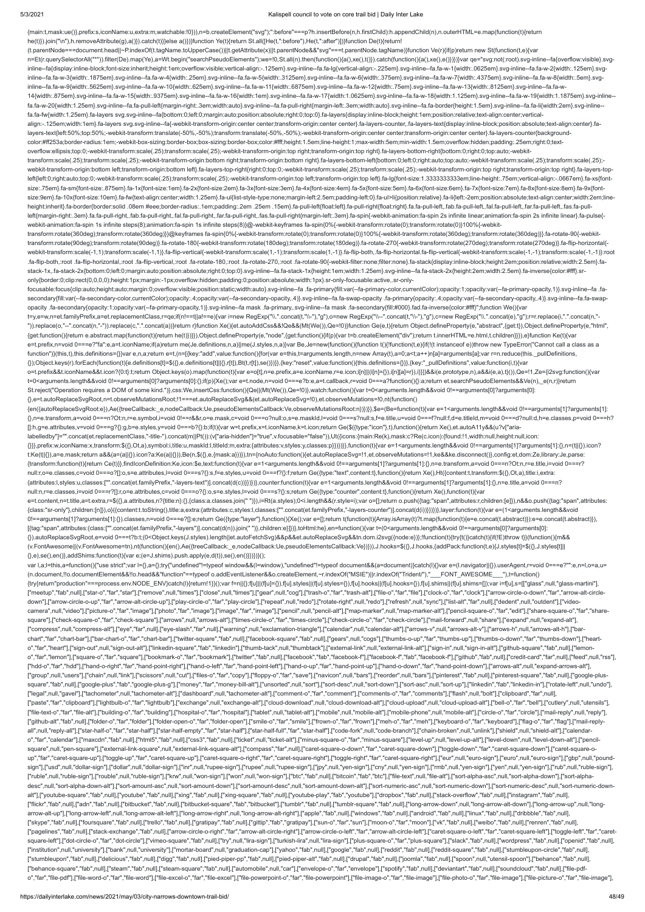#### 5/3/2021 Kalispell council to vote on core trail bid | Daily Inter Lake

n=Et(r.querySelectorAll("\*")).filter(De).map(Ye),a=Wt.begin("searchPseudoElements");we=!0,St.all(n).then(function(){a(),xe(),t()}).catch(function(){a(),xe(),e()}}})}var qe="svg:not(:root).svg-inline--fa{overflow:visible}.s

{main:t,mask:ue()},prefix:s,iconName:u,extra:m,watchable:!0})),n=b.createElement("svg");":before"===p?h.insertBefore(n,h.firstChild):h.appendChild(n),n.outerHTML=e.map(function(t){return

he(t)}).join("\n"),h.removeAttribute(g),a()}).catch(t)}}else a()})}function Ye(t){return St.all([He(t,":before"),He(t,":after")])}function De(t){return!

inline--fa{display:inline-block;font-size:inherit;height:1em;overflow:visible;vertical-align:-.125em}.svg-inline--fa.fa-lg{vertical-align:-.225em}.svg-inline--fa.fa-w-1{width:.0625em}.svg-inline--fa.fa-w-2{width:.125em}.sv inline--fa.fa-w-3{width:.1875em}.svg-inline--fa.fa-w-4{width:.25em}.svg-inline--fa.fa-w-5{width:.3125em}.svg-inline--fa.fa-w-6{width:.375em}.svg-inline--fa.fa-w-7{width:.4375em}.svg-inline--fa.fa-w-8{width:.5em}.svg-inline inline--fa.fa-w-9{width:.5625em}.svg-inline--fa.fa-w-10{width:.625em}.svg-inline--fa.fa-w-11{width:.6875em}.svg-inline--fa.fa-w-12{width:.75em}.svg-inline--fa.fa-w-12{width:.625em}.svg-inline--fa.fa-w-12{width:.75em}.svg-i 14{width:.875em}.svg-inline--fa.fa-w-15{width:.9375em}.svg-inline--fa.fa-w-16{width:1em}.svg-inline--fa.fa-w-17{width:1.0625em}.svg-inline--fa.fa-w-18{width:1.125em}.svg-inline--fa.fa-w-19{width:1.1875em}.svg-inline- fa.fa-w-20{width:1.25em}.svg-inline--fa.fa-pull-left{margin-right:.3em;width:auto}.svg-inline--fa.fa-pull-right{margin-left:.3em;width:auto}.svg-inline--fa.fa-border{height:1.5em}.svg-inline--fa.fa-li{width:2em}.svg-inline- fa.fa-fw{width:1.25em}.fa-layers svg.svg-inline--fa{bottom:0;left:0;margin:auto;position:absolute;right:0;top:0}.fa-layers{display:inline-block;height:1em;position:relative;text-align:center;verticalalign:-.125em;width:1em}.fa-layers svg.svg-inline--fa{-webkit-transform-origin:center center;transform-origin:center center}.fa-layers-counter,.fa-layers-text{display:inline-block;position:absolute;text-align:center}.falayers-text{left:50%;top:50%;-webkit-transform:translate(-50%,-50%);transform:translate(-50%,-50%);-webkit-transform-origin:center center;transform-origin:center center}.fa-layers-counter{backgroundcolor:#ff253a;border-radius:1em;-webkit-box-sizing:border-box;box-sizing:border-box;color:#fff;height:1.5em;line-height:1;max-width:5em;min-width:1.5em;overflow:hidden;padding:.25em;right:0;textoverflow:ellipsis;top:0;-webkit-transform:scale(.25);transform:scale(.25);-webkit-transform-origin:top right;transform-origin:top right}.fa-layers-bottom-right{bottom:0;right:0;top:auto;-webkittransform:scale(.25);transform:scale(.25);-webkit-transform-origin:bottom right;transform-origin:bottom right}.fa-layers-bottom-left{bottom:0;left:0;right:auto;top:auto;-webkit-transform:scale(.25);transform:scale(.25); webkit-transform-origin:bottom left;transform-origin:bottom left}.fa-layers-top-right{right:0;top:0;-webkit-transform:scale(.25);transform:scale(.25);-webkit-transform-origin:top right;transform-origin:top right}.fa-layers left{left:0;right:auto;top:0;-webkit-transform:scale(.25);transform:scale(.25);-webkit-transform-origin:top left;transform-origin:top left}.fa-lg{font-size:1.3333333333333333339m;line-height:.75em;vertical-align:-.0667em}. size:.75em}.fa-sm{font-size:.875em}.fa-1x{font-size:1em}.fa-2x{font-size:2em}.fa-3x{font-size:3em}.fa-4x{font-size:4em}.fa-5x{font-size:5em}.fa-6x{font-size:6em}.fa-7x{font-size:7em}.fa-8x{font-size:8em}.fa-9x{fontsize:9em}.fa-10x{font-size:10em}.fa-fw{text-align:center;width:1.25em}.fa-ul{list-style-type:none;margin-left:2.5em;padding-left:0}.fa-ul>li{position:relative}.fa-li{left:-2em;position:absolute;text-align:center;width:2em; height:inherit}.fa-border{border:solid .08em #eee;border-radius:.1em;padding:.2em .25em .15em}.fa-pull-left{float:left}.fa-pull-right{float:right}.fa.fa-pull-left,.fab.fa-pull-left,.fab.fa-pull-left,.fal.fa-pull-left,.fan. left{margin-right:.3em}.fa.fa-pull-right,.fab.fa-pull-right,.fal.fa-pull-right,.fal.fa-pull-right,.far.fa-pull-right,.far.fa-pull-right,.fas.fa-pull-right(nargin-left:.3em}.fa-spin{-webkit-animation:fa-spin 2s infinite lin webkit-animation:fa-spin 1s infinite steps(8);animation:fa-spin 1s infinite steps(8)}@-webkit-keyframes fa-spin{0%{-webkit-transform:rotate(0);transform:rotate(0)}100%{-webkittransform:rotate(360deg);transform:rotate(360deg)}}@keyframes fa-spin{0%{-webkit-transform:rotate(0);transform:rotate(0)}100%{-webkit-transform:rotate(360deg);transform:rotate(360deg)}}.fa-rotate-90{-webkittransform:rotate(90deg);transform:rotate(90deg)}.fa-rotate-180{-webkit-transform:rotate(180deg);transform:rotate(180deg)}.fa-rotate-270{-webkit-transform:rotate(270deg);transform:rotate(270deg)}.fa-flip-horizontal{ webkit-transform:scale(-1,1);transform:scale(-1,1)}.fa-flip-vertical{-webkit-transform:scale(1,-1);transform:scale(1,-1)}.fa-flip-both,.fa-flip-both,da-flip-horizontal.fa-flip-vertical{-webkit-transform:scale(-1,-1)}:root .fa-flip-both,:root .fa-flip-horizontal,:root .fa-flip-vertical,:root .fa-rotate-180,:root .fa-rotate-270,:root .fa-rotate-90{-webkit-filter:none;filter:none}.fa-stack{display:inline-block;height:2em;position:relative;widt stack-1x,.fa-stack-2x{bottom:0;left:0;margin:auto;position:absolute;right:0;top:0}.svg-inline--fa.fa-stack-1x{height:1em;width:1.25em}.svg-inline--fa.fa-stack-2x{height:2em;width:2.5em}.fa-inverse{color:#fff}.sronly{border:0;clip:rect(0,0,0,0);height:1px;margin:-1px;overflow:hidden;padding:0;position:absolute;width:1px}.sr-only-focusable:active,.sr-onlyfocusable:focus{clip:auto;height:auto;margin:0;overflow:visible;position:static;width:auto}.svg-inline--fa .fa-primary{fill:var(--fa-primary-color,currentColor);opacity:1;opacity:1-a-primary-opacity,1)}.svg-inline--fa .fasecondary{fill:var(--fa-secondary-color,currentColor);opacity:.4;opacity:var(--fa-secondary-opacity,.4)}.svg-inline--fa.fa-swap-opacity .fa-primary{opacity:.4;opacity:.4;opacity-rar(--fa-secondary-opacity: 4;opacity: 4). s opacity .fa-secondary{opacity:1;opacity:var(--fa-primary-opacity,1)}.svg-inline--fa mask .fa-primary,.svg-inline--fa mask .fa-secondary{fill:#000}.fad.fa-inverse{color:#fff}";function We(){var t=y,e=w,n=et.familyPrefix,a=et.replacementClass,r=qe;if(n!==t||a!==e){var i=new RegExp("\\.".concat(t,"\\-"),"g"),o=new RegExp("\\--".concat(t,"\\-"),"g"),c=new RegExp("\\.".concat(e),"g");r=r.replace(i,".".concat(n,"- ")).replace(o,"--".concat(n,"-")).replace(c,".".concat(a))}return r}function Xe(){et.autoAddCss&&!Qe&&(Mt(We()),Qe=!0)}function Ge(e,t){return Object.defineProperty(e,"abstract",{get:t}),Object.defineProperty(e,"html", {get:function(){return e.abstract.map(function(t){return he(t)})}}),Object.defineProperty(e,"node",{get:function(){if(p){var t=b.createElement("div");return t.innerHTML=e.html,t.children}}}),e}function Ke(t){var e=t.prefix,n=void 0===e?"fa":e,a=t.iconName;if(a)return me(Je.definitions,n,a)||me(J.styles,n,a)}var Be,Je=new(function(){function t(){!function(t,e){if(!(t instanceof e))throw new TypeError("Cannot call a class as a function")}(this,t),this.definitions={}}var e,n,a;return e=t,(n=[{key:"add",value:function(){for(var e=this,t=arguments.length,n=new Array(t),a=0;a<t;a++)n[a]=arguments[a];var r=n.reduce(this. pullDefinitions, {});Object.keys(r).forEach(function(t){e.definitions[t]=\$({},e.definitions[t]||{},r[t]),Bt(t,r[t]),se()})}},{key:"reset",value:function(){this.definitions={}}},{key:"\_pullDefinitions",value:function(i,t){var o=t.prefix&&t.iconName&&t.icon?{0:t}:t;return Object.keys(o).map(function(t){var e=o[t],n=e.prefix,a=e.iconName,r=e.icon;i[n]||(i[n]={}),i[n][a]=r}),i}}])&&i(e.prototype,n),a&&i(e,a),t}()),Qe=!1,Ze={i2svg:function(){var t=0<arguments.length&&void 0!==arguments[0]?arguments[0]:{};if(p){Xe();var e=t.node,n=void 0===e?b:e,a=t.callback,r=void 0===a?function(){}:a;return et.searchPseudoElements&&Ve(n),\_e(n,r)}return St.reject("Operation requires a DOM of some kind.")},css:We,insertCss:function(){Qe||(Mt(We()),Qe=!0)},watch:function(){var t=0<arguments.length&&void 0!==arguments[0]?arguments[0]: {},e=t.autoReplaceSvgRoot,n=t.observeMutationsRoot;!1===et.autoReplaceSvg&&(et.autoReplaceSvg=!0),et.observeMutations=!0,nt(function() {en({autoReplaceSvgRoot:e}),Ae({treeCallback:\_e,nodeCallback:Ue,pseudoElementsCallback:Ve,observeMutationsRoot:n})})}},\$e=(Be=function(t){var e=1<arguments.length&&void 0!==arguments[1]?arguments[1]: {},n=e.transform,a=void 0===n?Ot:n,r=e.symbol,i=void 0!==r&&r,o=e.mask,c=void 0===o?null:o,s=e.maskId,l=void 0===s?null:s,f=e.title,u=void 0===f?null:f,d=e.titleId,m=void 0===d?null:d,h=e.classes,p=void 0===h? []:h,g=e.attributes,v=void 0===g?{}:g,b=e.styles,y=void 0===b?{}:b;if(t){var w=t.prefix,x=t.iconName,k=t.icon;return Ge(\$({type:"icon"},t),function(){return Xe(),et.autoA11y&&(u?v["arialabelledby"]="".concat(et.replacementClass,"-title-").concat(m||Pt()):(v["aria-hidden"]="true",v.focusable="false")),Ut({icons:{main:Re(k),mask:c?Re(c.icon):{found:!1,width:null,height:null,icon: {}}},prefix:w,iconName:x,transform:\$({},Ot,a),symbol:i,title:u,maskId:l,titleId:m,extra:{attributes:v,styles:y,classes:p}})})}},function(t){var e=1<arguments.length&&void 0!==arguments[1]?arguments[1]:{},n=(t||{}).icon? t:Ke(t||{}),a=e.mask;return a&&(a=(a||{}).icon?a:Ke(a||{})),Be(n,\$({},e,{mask:a}))}),tn={noAuto:function(){et.autoReplaceSvg=!1,et.observeMutations=!1,ke&&ke.disconnect()},config:et,dom:Ze,library:Je,parse: {transform:function(t){return Ce(t)}},findIconDefinition:Ke,icon:\$e,text:function(t){var e=1<arguments.length&&void 0!==arguments[1]?arguments[1]:{},n=e.transform,a=void 0===n?Ot:n,r=e.title,i=void 0===r? null:r,o=e.classes,c=void 0===o?[]:o,s=e.attributes,l=void 0===s?{}:s,f=e.styles,u=void 0===f?{}:f;return Ge({type:"text",content:t},function(){return Xe(),Ht({content:t,transform:\$({},Ot,a),title:i,extra: {attributes:l,styles:u,classes:["".concat(et.familyPrefix,"-layers-text")].concat(d(c))}})})},counter:function(t){var e=1<arguments.length&&void 0!==arguments[1]?arguments[1]:{},n=e.title,a=void 0===n? null:n,r=e.classes,i=void 0===r?[]:r,o=e.attributes,c=void 0===o?{}:o,s=e.styles,l=void 0===s?{}:s;return Ge({type:"counter",content:t},function(){return Xe(),function(t){var e=t.content,n=t.title,a=t.extra,r=\$({},a.attributes,n?{title:n}:{},{class:a.classes.join("")}),i=Rt(a.styles);0<i.length&&(r.style=i);var o=[];return o.push({tag:"span",attributes:r,children:[e]}),n&&o.push({tag:"span",att {class:"sr-only"},children:[n]}),o}({content:t.toString(),title:a,extra:{attributes:c,styles:l,classes:["".concat(et.familyPrefix,"-layers-counter")].concat(d(i))}})})},layer:function(t){var e=(1<arguments.length&&void 0!==arguments[1]?arguments[1]:{}).classes,n=void 0===e?[]:e;return Ge({type:"layer"},function(){Xe();var e=[];return t(function(t){Array.isArray(t)?t.map(function(t){e=e.concat(t.abstract)}):e=e.concat(t.abstract)}), [{tag:"span",attributes:{class:["".concat(et.familyPrefix,"-layers")].concat(d(n)).join(" ")},children:e}]})},toHtml:he},en=function(){var t=(0<arguments.length&&void 0!==arguments[0]?arguments[0]: {}).autoReplaceSvgRoot,e=void 0===t?b:t;(0<Object.keys(J.styles).length||et.autoFetchSvg)&&p&&et.autoReplaceSvg&&tn.dom.i2svg({node:e})};!function(t){try{t()}catch(t){if(!E)throw t}}(function(){m&& (v.FontAwesome||(v.FontAwesome=tn),nt(function(){en(),Ae({treeCallback:\_e,nodeCallback:Ue,pseudoElementsCallback:Ve})})),J.hooks=\$({},J.hooks,{addPack:function(t,e){J.styles[t]=\$({},J.styles[t]|| {},e),se(),en()},addShims:function(t){var e;(e=J.shims).push.apply(e,d(t)),se(),en()}})})}(); var l,a;l=this,a=function(){"use strict";var l={},a={};try{"undefined"!=typeof window&&(l=window),"undefined"!=typeof document&&(a=document)}catch(l){}var e=(l.navigator||{}).userAgent,r=void 0===e?"":e,n=l,o=a,u= (n.document,!!o.documentElement&&!!o.head&&"function"==typeof o.addEventListener&&o.createElement,~r.indexOf("MSIE")||r.indexOf("Trident/"),"\_\_\_FONT\_AWESOME\_\_\_"),t=function() {try{return"production"===process.env.NODE\_ENV}catch(l){return!1}}();var f=n||{};f[u]||(f[u]={}),f[u].styles||(f[u].shyles={}),f[u].hooks||(f[u].hooks={}),f[u].shims||(f[u].shims=[]);var i=f[u],s=[["glass",null,"glass-mart ["meetup","fab",null],["star-o","far","star"],["remove",null,"times"],["close",null,"times"],["gear",null,"toog"],["trash-o","far","tarh-alt"],["file-o","far","falr","far","clock-o","far","clock"],["arrow-circle-o-down","f down"],["arrow-circle-o-up","far","arrow-alt-circle-up"],["play-circle-o","far","play-circle"],["repeat",null,"redo"],["rotate-right",null,"redo"],["refresh",null,"sync"],["ist-alt","far","far","far","faldent"],["videocamera",null,"video"],["picture-o","far","image"],["photo","far","image"],["image","far","image"],["pencil",null,"pencil-alt"],["map-marker",null,"map-marker-alt"],["pencil-square-o","far","edit"],["share-square-o","far"," square"],["check-square-o","far","check-square"],["arrows",null,"arrows-alt"],["times-circle-o","far","times-circle"],["check-circle-o","far","check-circle-o","far","check-circle-o","far","check-circle-o","far","check-circ ["compress",null,"compress-alt"],["eye","far",null],["eye-slash","far",null],["warning",null,"exclamation-triangle"],["calendar",null,"calendar-alt"],["arrows-v",null,"arrows-alt-v"],["arrows-h",null,"arrows-alt-h"],["barchart","far","chart-bar"],["bar-chart-o","far","chart-bar"],["twitter-square","fab",null],["facebook-square","fab",null],["gears",null,"cogs"],["thumbs-o-up","far","thumbs-o-down","far","thumbs-down"],["hearto","far","heart"],["sign-out",null,"sign-out-alt"],["linkedin-square","fab","linkedin"],["thumb-tack",null,"thumbtack"],["external-link",null,"external-link-alt"],["sign-in",null,"sign-in-alt"],["github-square","fab",null] o","far","lemon"],["square-o","far","square"],["bookmark-o","far","bookmark"],["twitter","fab",null],["facebook","fab","facebook-f"],["facebook-f","fab","facebook-f"],["github","fab",null],["credit-card","far",null],["feed ["hdd-o","far","hdd"],["hand-o-right","far","hand-point-right"],["hand-o-left","far","hand-point-left"],["hand-o-up","far","hand-point-up"],["hand-o-down","far","hand-point-down"],["arrows-alt",null,"expand-arrows-alt"], ["group",null,"users"],["chain",null,"link"],["scissors",null,"cut"],["files-o","far","copy"],["floppy-o","far","save"],["navicon",null,"bars"],["reorder",null,"bars"],["pinterest","fab",null],["pinterest-square","fab",nul square","fab",null],["google-plus","fab","google-plus-g"],["money","far","money-bill-alt"],["unsorted",null,"sort-desc",null,"sort-down"],["sort-asc",null,"sort-up"],["inkedin","fab","linkedin-in"],["rotate-left",null,"und ["legal",null,"gavel"],["tachometer",null,"tachometer-alt"],["dashboard",null,"tachometer-alt"],["comment-o","far","comment"],["comments-o","far","comments"],["flash",null,"bolt"],["clipboard","far",null], ["paste","far","clipboard"],["lightbulb-o","far","lightbulb"],["exchange",null,"exchange-alt"],["cloud-download",null,"cloud-download-alt"],["cloud-upload",null,"cloud-upload-alt"],["bell-o","far","bell"],["cutlery",null," ["file-text-o","far","file-alt"],["building-o","far","building"],["hospital-o","far","hospital"],["tablet",null,"tablet-alt"],["mobile-alt"],["mobile-phone",null,"mobile-alt"],["mobile-alt"],["circle-o","far","circle"],["m ["github-alt","fab",null],["folder-o","far","folder"],["folder-open-o","far","folder-open"],["smile-o","far","smile"],["frown-o","far","frown"],["meh-o","far","meh"],["keyboard-o","far","keyboard"],["flag-o","far","flag"], all",null,"reply-all"],["star-half-o","far","star-half"],["star-half-empty","far","star-half"],["star-half"],["star-half-full","far","star-half-full","far","star-half"],["code-fork",null,"code-branch"],["chain-broken",null o","far","calendar"],["maxcdn","fab",null],["html5","fab",null],["css3","fab",null],["css3","fab",null],["cket",null],"thcket-alt"],["minus-square-o","far","minus-square"],["level-up",null,"level-up-alt"],["level-down",nul square",null,"pen-square"],["external-link-square",null,"external-link-square-alt"],["compass","far",null],["caret-square-o-down","far","caret-square-down"],["toggle-down","far","caret-square-down"],["caret-square-oup","far","caret-square-up"),["toggle-up","far","caret-square-up"],["caret-square-o-right","far","caret-square-right"],["toggle-right","far","caret-square-right"],["toggle-right"],"caret-square-square-right"],["coret-squar sign"],["usd",null,"dollar-sign"],["dollar",null,"dollar-sign"],["inr",null,"rupee-sign"],["inpee-sign"],["inpee-sign"],["inpee-sign"],["ppy",null,"yen-sign"],["cny",null,"yen-sign"],["mb",null,"yen-sign"],["yen",null,"yen ["ruble",null,"ruble-sign"],["rouble",null,"ruble-sign"],["krw",null,"won-sign"],["won",null,"won-sign"],["btc","fab",null],["bitcoin","fab","btc"],["fle-text",null,"file-alt"],["sort-alpha-asc",null,"sort-alpha-down"],["s desc",null,"sort-alpha-down-alt"],["sort-amount-asc",null,"sort-amount-down"],["sort-amount-desc",null,"sort-amount-down-alt"],["sort-numeric-asc",null,"sort-numeric-down"],["sort-numeric-desc",null,"sort-numeric-downalt"],["youtube-square","fab",null],["youtube","fab",null],["xing","fab",null],["xing-square","fab",null],["youtube-play","fab","youtube"],["dropbox","fab",null],["stack-overflow","fab",null],["instagram","fab",null], ["flickr","fab",null],["adn","fab",null],["bitbucket","fab",null],["bitbucket-square","fab","bitbucket-square","fab","bitbucket"],["tumblr","fab",null],["tumblr-square","fab",null],["long-arrow-down",null,"long-arrow-alt-d arrow-alt-up"],["long-arrow-left",null,"long-arrow-alt-left"],["long-arrow-right",null,"long-arrow-alt-right"],["apple","fab",null],["windows","fab",null],["android","fab",null],["linux","fab",null],["dribbble","fab",null] ["skype","fab",null],["foursquare","fab",null],["trello","fab",null],["gratipay","fab",null],["gittip","fab","gratipay"],["sun-o","far","sun"],["moon-o","far","moon"],["vk","fab",null],["weibo","fab",null],["renren","fab", ["pagelines","fab",null],["stack-exchange","fab",null],["arrow-circle-o-right","far","arrow-alt-circle-right"],["arrow-circle-o-left","far","arrow-alt-circle-o-left","far","arrow-alt-circle-ight"],["arrow-circle-o-left","f square-left"],["dot-circle-o","far","dot-circle"],["vimeo-square","fab",null],["try",null,"lira-sign"],["turkish-lira",null,"lira-sign"],["plus-square-o","far","plus-square"],["slack","fab",null],["wordpress","fab",null],[ ["institution",null,"university"],["bank",null,"university"],["mortar-board",null,"graduation-cap"],["yahoo","fab",null],["google","fab",null],["reddit","fab",null],["reddit-square","fab",null],["stumbleupon-circle","fab", ["stumbleupon","fab",null],["delicious","fab",null],["digg","fab",null],["pied-piper-pp","fab",null],["pied-piper-alt","fab",null],["dorna","fab",null],["joomla","fab",null],["joomla","fab",null],["spoon",null,"utensil-spo ["behance-square","fab",null],["steam","fab",null],["steam-square","fab",null],["automobile",null,"car"],["envelope-o","far","envelope"],["spotify","fab",null],["deviantart","fab",null],["soundcloud","fab",null],["file-pdfo","far","file-pdf"],["file-word-o","far","file-word"],["file-excel-o","far","file-excel"],["file-excel"],["file-powerpoint-o","far","file-powerpoint"],["file-image-o","far","file-image"],["file-photo-o","far","file-image"

(t.parentNode===document.head||~P.indexOf(t.tagName.toUpperCase())||t.getAttribute(x)||t.parentNode&&"svg"===t.parentNode.tagName)}function Ve(r){if(p)return new St(function(t,e){var